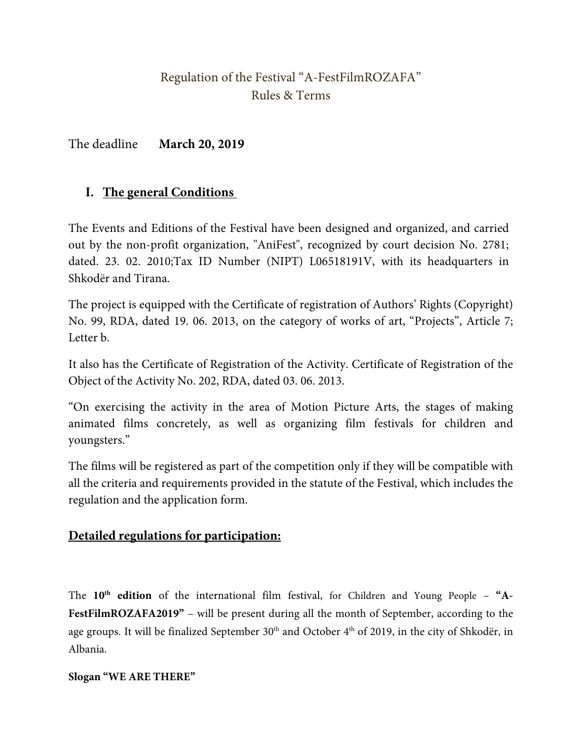## Regulation of the Festival "A-FestFilmROZAFA" Rules & Terms

The deadline **March 20, 2019**

### **I. The general Conditions**

The Events and Editions of the Festival have been designed and organized, and carried out by the non-profit organization, "AniFest", recognized by court decision No. 2781; dated. 23. 02. 2010;Tax ID Number (NIPT) L06518191V, with its headquarters in Shkodër and Tirana.

The project is equipped with the Certificate of registration of Authors' Rights (Copyright) No. 99, RDA, dated 19. 06. 2013, on the category of works of art, "Projects", Article 7; Letter b.

It also has the Certificate of Registration of the Activity. Certificate of Registration of the Object of the Activity No. 202, RDA, dated 03. 06. 2013.

"On exercising the activity in the area of Motion Picture Arts, the stages of making animated films concretely, as well as organizing film festivals for children and youngsters."

The films will be registered as part of the competition only if they will be compatible with all the criteria and requirements provided in the statute of the Festival, which includes the regulation and the application form.

#### **Detailed regulations for participation:**

The 10<sup>th</sup> edition of the international film festival, for Children and Young People - "A-FestFilmROZAFA2019" – will be present during all the month of September, according to the age groups. It will be finalized September  $30<sup>th</sup>$  and October  $4<sup>th</sup>$  of 2019, in the city of Shkodër, in Albania.

#### **Slogan "WE ARE THERE"**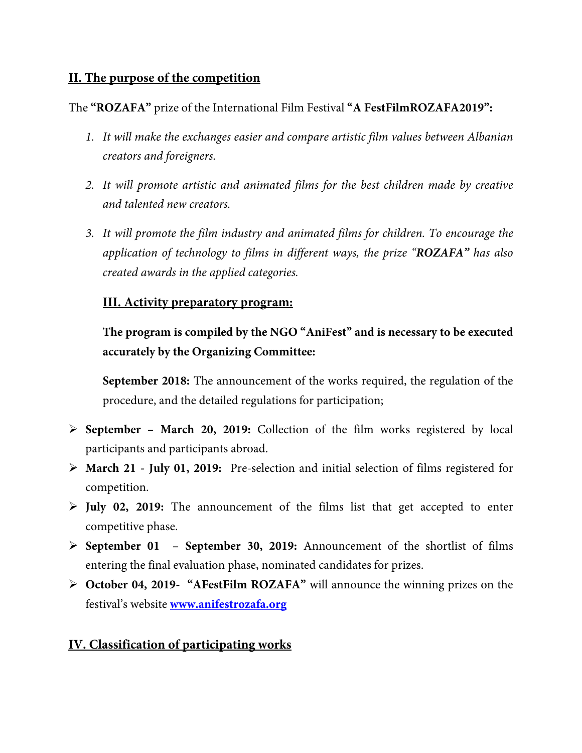#### **II. The purpose of the competition**

The **"ROZAFA"** prize of the International Film Festival **"A FestFilmROZAFA2019":**

- *1. It will make the exchanges easier and compare artistic film values between Albanian creators and foreigners.*
- *2. It will promote artistic and animated films for the best children made by creative and talented new creators.*
- *3. It will promote the film industry and animated films for children. To encourage the application of technology to films in different ways, the prize "ROZAFA" has also created awards in the applied categories.*

#### **III. Activity preparatory program:**

**The program is compiled by the NGO "AniFest" and is necessary to be executed accurately by the Organizing Committee:**

**September 2018:** The announcement of the works required, the regulation of the procedure, and the detailed regulations for participation;

- **September March 20, 2019:** Collection of the film works registered by local participants and participants abroad.
- **March 21 July 01, 2019:** Pre-selection and initial selection of films registered for competition.
- **July 02, 2019:** The announcement of the films list that get accepted to enter competitive phase.
- **September 01 September 30, 2019:** Announcement of the shortlist of films entering the final evaluation phase, nominated candidates for prizes.
- **October 04, 2019- "AFestFilm ROZAFA"** will announce the winning prizes on the festival's website **[www.anifestrozafa.org](http://www.anifestrozafa.org/)**

#### **IV. Classification of participating works**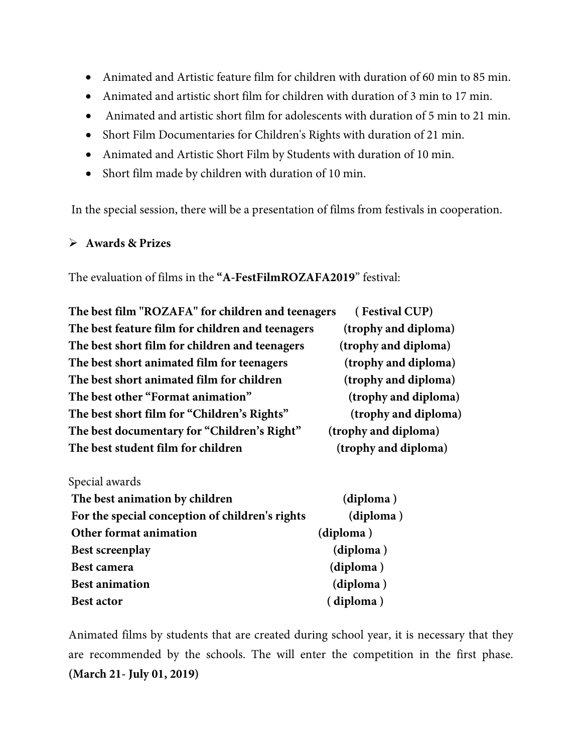- Animated and Artistic feature film for children with duration of 60 min to 85 min.
- Animated and artistic short film for children with duration of 3 min to 17 min.
- Animated and artistic short film for adolescents with duration of 5 min to 21 min.
- Short Film Documentaries for Children's Rights with duration of 21 min.
- Animated and Artistic Short Film by Students with duration of 10 min.
- Short film made by children with duration of 10 min.

In the special session, there will be a presentation of films from festivals in cooperation.

#### **Awards & Prizes**

The evaluation of films in the **"A-FestFilmROZAFA2019**" festival:

| The best film "ROZAFA" for children and teenagers | (Festival CUP)       |
|---------------------------------------------------|----------------------|
| The best feature film for children and teenagers  | (trophy and diploma) |
| The best short film for children and teenagers    | (trophy and diploma) |
| The best short animated film for teenagers        | (trophy and diploma) |
| The best short animated film for children         | (trophy and diploma) |
| The best other "Format animation"                 | (trophy and diploma) |
| The best short film for "Children's Rights"       | (trophy and diploma) |
| The best documentary for "Children's Right"       | (trophy and diploma) |
| The best student film for children                | (trophy and diploma) |

| Special awards                                  |           |
|-------------------------------------------------|-----------|
| The best animation by children                  | (diploma) |
| For the special conception of children's rights | (diploma) |
| Other format animation                          | (diploma) |
| <b>Best screenplay</b>                          | (diploma) |
| <b>Best camera</b>                              | (diploma) |
| <b>Best animation</b>                           | (diploma) |
| <b>Best actor</b>                               | (diploma) |

Animated films by students that are created during school year, it is necessary that they are recommended by the schools. The will enter the competition in the first phase. **(March 21- July 01, 2019)**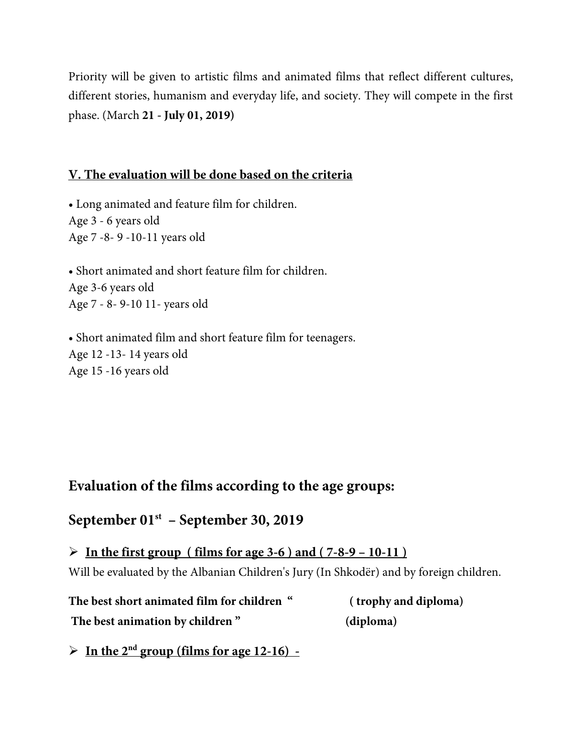Priority will be given to artistic films and animated films that reflect different cultures, different stories, humanism and everyday life, and society. They will compete in the first phase. (March **21 - July 01, 2019)**

#### **V. The evaluation will be done based on the criteria**

• Long animated and feature film for children. Age 3 - 6 years old Age 7 -8- 9 -10-11 years old

• Short animated and short feature film for children. Age 3-6 years old Age 7 - 8- 9-10 11- years old

• Short animated film and short feature film for teenagers. Age 12 -13- 14 years old Age 15 -16 years old

## **Evaluation of the films according to the age groups:**

## **September 01st – September 30, 2019**

 **In the first group ( films for age 3-6 ) and ( 7-8-9 – 10-11 )** Will be evaluated by the Albanian Children's Jury (In Shkodër) and by foreign children.

**The best short animated film for children " ( trophy and diploma) The best animation by children " (diploma)** 

 $\triangleright$  In the 2<sup>nd</sup> group (films for age 12-16) -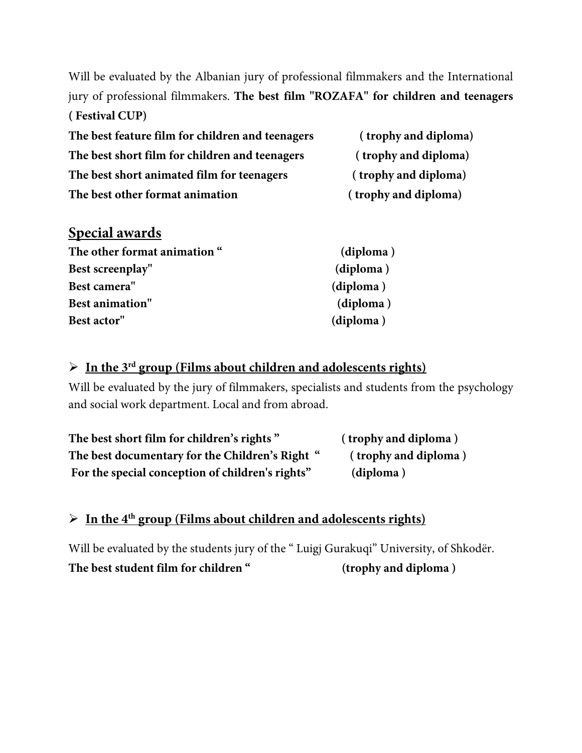Will be evaluated by the Albanian jury of professional filmmakers and the International jury of professional filmmakers. **The best film "ROZAFA" for children and teenagers ( Festival CUP)** 

| The best feature film for children and teenagers | (trophy and diploma) |
|--------------------------------------------------|----------------------|
| The best short film for children and teenagers   | (trophy and diploma) |
| The best short animated film for teenagers       | (trophy and diploma) |
| The best other format animation                  | (trophy and diploma) |

## **Special awards**

| The other format animation " | (diploma) |
|------------------------------|-----------|
| Best screenplay"             | (diploma) |
| Best camera"                 | (diploma) |
| <b>Best animation"</b>       | (diploma) |
| Best actor"                  | (diploma) |

### **In the 3rd group (Films about children and adolescents rights)**

Will be evaluated by the jury of filmmakers, specialists and students from the psychology and social work department. Local and from abroad.

| The best short film for children's rights"       | (trophy and diploma) |
|--------------------------------------------------|----------------------|
| The best documentary for the Children's Right "  | (trophy and diploma) |
| For the special conception of children's rights" | (diploma)            |

# **In the 4th group (Films about children and adolescents rights)**

Will be evaluated by the students jury of the " Luigj Gurakuqi" University, of Shkodër. **The best student film for children " (trophy and diploma )**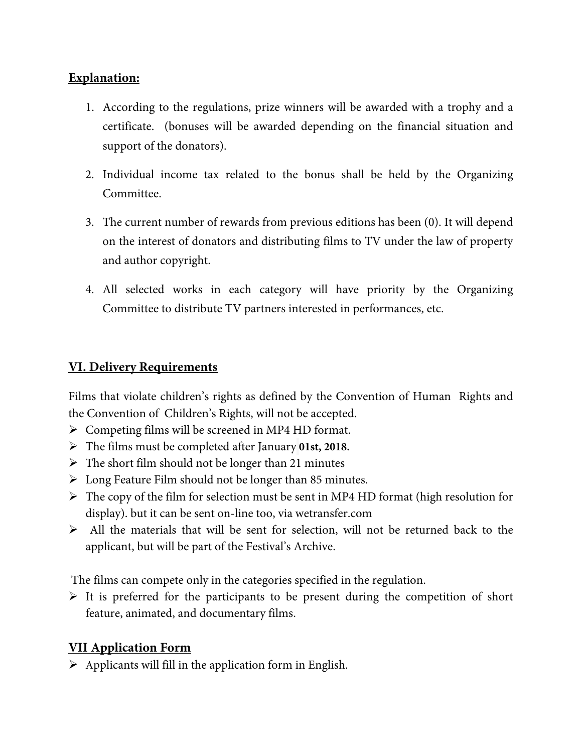### **Explanation:**

- 1. According to the regulations, prize winners will be awarded with a trophy and a certificate. (bonuses will be awarded depending on the financial situation and support of the donators).
- 2. Individual income tax related to the bonus shall be held by the Organizing Committee.
- 3. The current number of rewards from previous editions has been (0). It will depend on the interest of donators and distributing films to TV under the law of property and author copyright.
- 4. All selected works in each category will have priority by the Organizing Committee to distribute TV partners interested in performances, etc.

#### **VI. Delivery Requirements**

Films that violate children's rights as defined by the Convention of Human Rights and the Convention of Children's Rights, will not be accepted.

- $\triangleright$  Competing films will be screened in MP4 HD format.
- The films must be completed after January **01st, 2018.**
- $\triangleright$  The short film should not be longer than 21 minutes
- Long Feature Film should not be longer than 85 minutes.
- $\triangleright$  The copy of the film for selection must be sent in MP4 HD format (high resolution for display). but it can be sent on-line too, via wetransfer.com
- $\triangleright$  All the materials that will be sent for selection, will not be returned back to the applicant, but will be part of the Festival's Archive.

The films can compete only in the categories specified in the regulation.

 $\triangleright$  It is preferred for the participants to be present during the competition of short feature, animated, and documentary films.

#### **VII Application Form**

 $\triangleright$  Applicants will fill in the application form in English.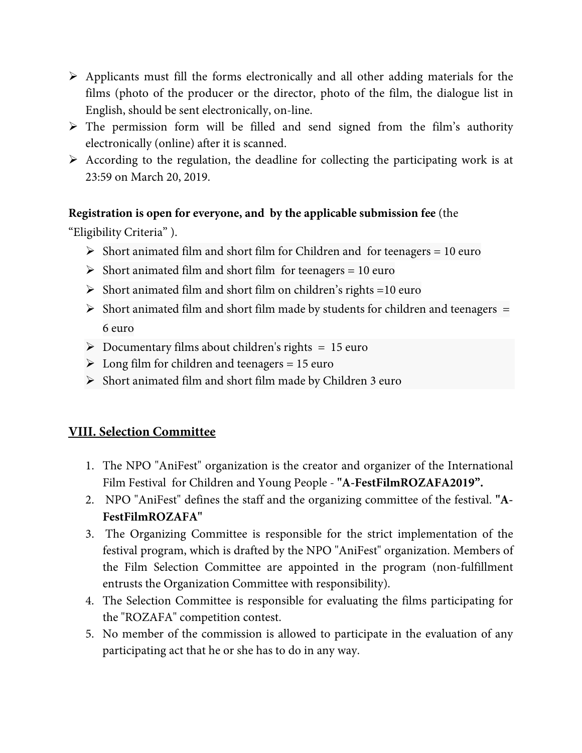- $\triangleright$  Applicants must fill the forms electronically and all other adding materials for the films (photo of the producer or the director, photo of the film, the dialogue list in English, should be sent electronically, on-line.
- $\triangleright$  The permission form will be filled and send signed from the film's authority electronically (online) after it is scanned.
- $\triangleright$  According to the regulation, the deadline for collecting the participating work is at 23:59 on March 20, 2019.

#### **Registration is open for everyone, and by the applicable submission fee** (the

"Eligibility Criteria" ).

- $\triangleright$  Short animated film and short film for Children and for teenagers = 10 euro
- $\triangleright$  Short animated film and short film for teenagers = 10 euro
- $\triangleright$  Short animated film and short film on children's rights =10 euro
- $\triangleright$  Short animated film and short film made by students for children and teenagers = 6 euro
- $\triangleright$  Documentary films about children's rights = 15 euro
- $\geq$  Long film for children and teenagers = 15 euro
- $\triangleright$  Short animated film and short film made by Children 3 euro

#### **VIII. Selection Committee**

- 1. The NPO "AniFest" organization is the creator and organizer of the International Film Festival for Children and Young People - **"A-FestFilmROZAFA2019".**
- 2. NPO "AniFest" defines the staff and the organizing committee of the festival. **"A-FestFilmROZAFA"**
- 3. The Organizing Committee is responsible for the strict implementation of the festival program, which is drafted by the NPO "AniFest" organization. Members of the Film Selection Committee are appointed in the program (non-fulfillment entrusts the Organization Committee with responsibility).
- 4. The Selection Committee is responsible for evaluating the films participating for the "ROZAFA" competition contest.
- 5. No member of the commission is allowed to participate in the evaluation of any participating act that he or she has to do in any way.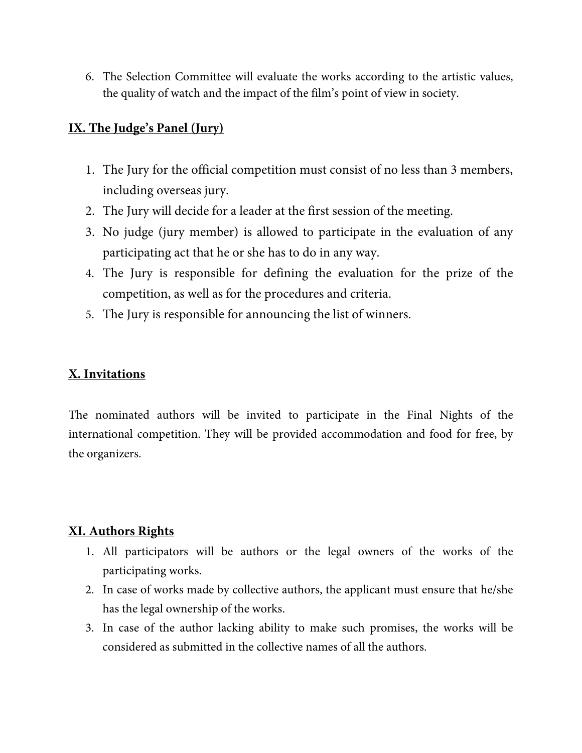6. The Selection Committee will evaluate the works according to the artistic values, the quality of watch and the impact of the film's point of view in society.

#### **IX. The Judge's Panel (Jury)**

- 1. The Jury for the official competition must consist of no less than 3 members, including overseas jury.
- 2. The Jury will decide for a leader at the first session of the meeting.
- 3. No judge (jury member) is allowed to participate in the evaluation of any participating act that he or she has to do in any way.
- 4. The Jury is responsible for defining the evaluation for the prize of the competition, as well as for the procedures and criteria.
- 5. The Jury is responsible for announcing the list of winners.

#### **X. Invitations**

The nominated authors will be invited to participate in the Final Nights of the international competition. They will be provided accommodation and food for free, by the organizers.

### **XI. Authors Rights**

- 1. All participators will be authors or the legal owners of the works of the participating works.
- 2. In case of works made by collective authors, the applicant must ensure that he/she has the legal ownership of the works.
- 3. In case of the author lacking ability to make such promises, the works will be considered as submitted in the collective names of all the authors.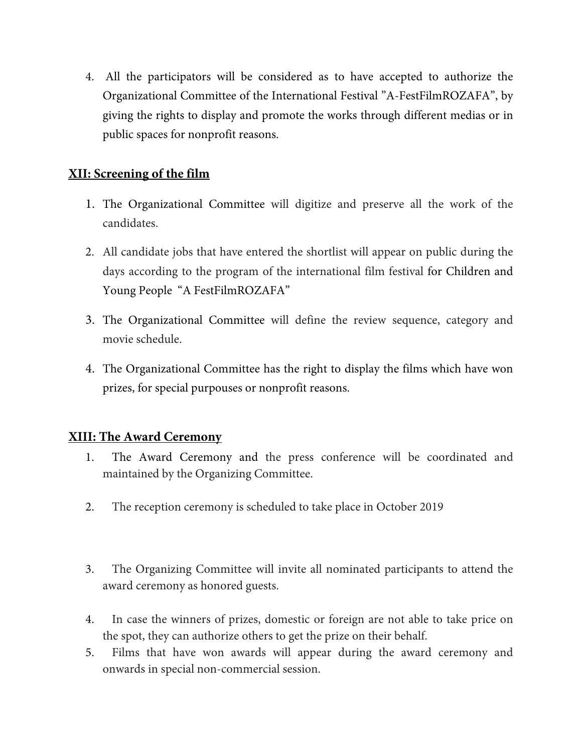4. All the participators will be considered as to have accepted to authorize the Organizational Committee of the International Festival "A-FestFilmROZAFA", by giving the rights to display and promote the works through different medias or in public spaces for nonprofit reasons.

### **XII: Screening of the film**

- 1. The Organizational Committee will digitize and preserve all the work of the candidates.
- 2. All candidate jobs that have entered the shortlist will appear on public during the days according to the program of the international film festival for Children and Young People "A FestFilmROZAFA"
- 3. The Organizational Committee will define the review sequence, category and movie schedule.
- 4. The Organizational Committee has the right to display the films which have won prizes, for special purpouses or nonprofit reasons.

#### **XIII: The Award Ceremony**

- 1. The Award Ceremony and the press conference will be coordinated and maintained by the Organizing Committee.
- 2. The reception ceremony is scheduled to take place in October 2019
- 3. The Organizing Committee will invite all nominated participants to attend the award ceremony as honored guests.
- 4. In case the winners of prizes, domestic or foreign are not able to take price on the spot, they can authorize others to get the prize on their behalf.
- 5. Films that have won awards will appear during the award ceremony and onwards in special non-commercial session.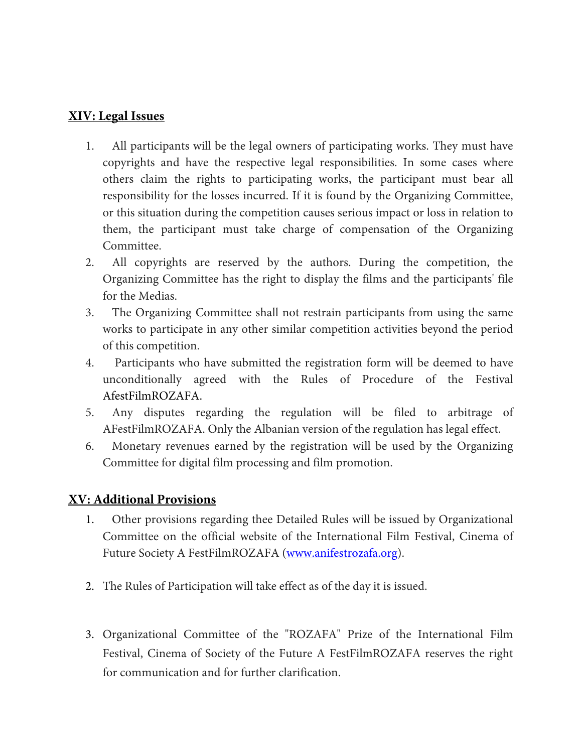#### **XIV: Legal Issues**

- 1. All participants will be the legal owners of participating works. They must have copyrights and have the respective legal responsibilities. In some cases where others claim the rights to participating works, the participant must bear all responsibility for the losses incurred. If it is found by the Organizing Committee, or this situation during the competition causes serious impact or loss in relation to them, the participant must take charge of compensation of the Organizing Committee.
- 2. All copyrights are reserved by the authors. During the competition, the Organizing Committee has the right to display the films and the participants' file for the Medias.
- 3. The Organizing Committee shall not restrain participants from using the same works to participate in any other similar competition activities beyond the period of this competition.
- 4. Participants who have submitted the registration form will be deemed to have unconditionally agreed with the Rules of Procedure of the Festival AfestFilmROZAFA.
- 5. Any disputes regarding the regulation will be filed to arbitrage of AFestFilmROZAFA. Only the Albanian version of the regulation has legal effect.
- 6. Monetary revenues earned by the registration will be used by the Organizing Committee for digital film processing and film promotion.

#### **XV: Additional Provisions**

- 1. Other provisions regarding thee Detailed Rules will be issued by Organizational Committee on the official website of the International Film Festival, Cinema of Future Society A FestFilmROZAFA [\(www.anifestrozafa.org\)](http://www.anifestrozafa.org/).
- 2. The Rules of Participation will take effect as of the day it is issued.
- 3. Organizational Committee of the "ROZAFA" Prize of the International Film Festival, Cinema of Society of the Future A FestFilmROZAFA reserves the right for communication and for further clarification.